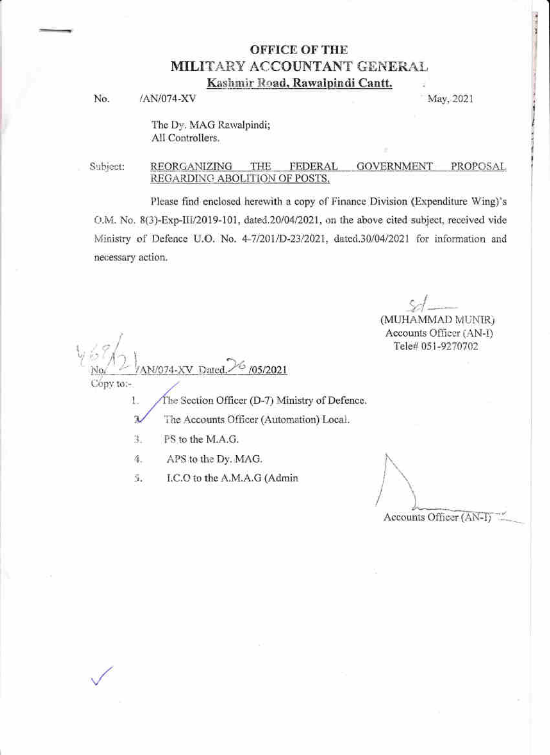# **OFFICE OF THE** MILITARY ACCOUNTANT GENERAL Kashmir Road, Rawalpindi Cantt.

No. /AN/074-XV

May, 2021

The Dy. MAG Rawalpindi; All Controllers.

Subject: REORGANIZING THE **FEDERAL GOVERNMENT** PROPOSAL REGARDING ABOLITION OF POSTS.

Please find enclosed herewith a copy of Finance Division (Expenditure Wing)'s O.M. No. 8(3)-Exp-III/2019-101, dated.20/04/2021, on the above cited subject, received vide Ministry of Defence U.O. No. 4-7/201/D-23/2021, dated.30/04/2021 for information and necessary action.

(MUHAMMAD MUNIR) Accounts Officer (AN-I)

Tele# 051-9270702

Copy to:-

1.

The Section Officer (D-7) Ministry of Defence.

Ä The Accounts Officer (Automation) Local.

PS to the M.A.G. 3.

4. APS to the Dy. MAG.

I.C.O to the A.M.A.G (Admin 5.

N/074-XV Dated. 6 /05/2021

Accounts Officer (AN-I)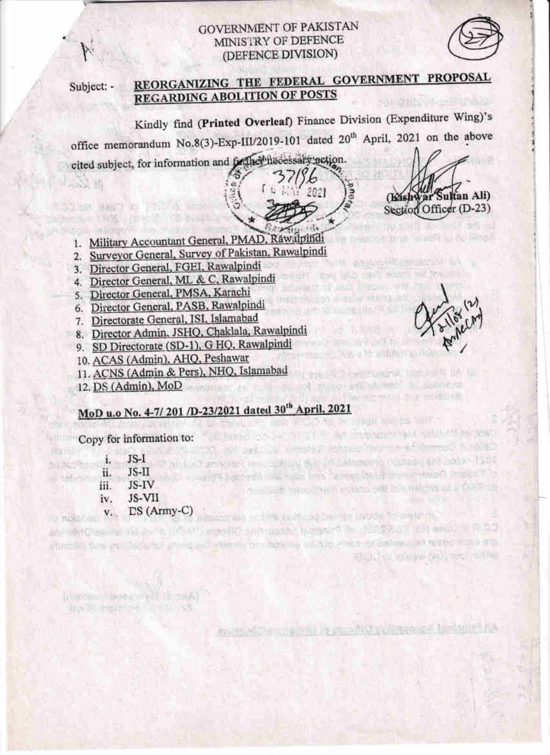## **GOVERNMENT OF PAKISTAN** MINISTRY OF DEFENCE (DEFENCE DIVISION)



Subject: -

**ESM 39** 

**Billingen** in

namiv

**BOOK BEET RI**under 15 36

#### REORGANIZING THE FEDERAL GOVERNMENT PROPOSAL **REGARDING ABOLITION OF POSTS SOLLS MASS UNIVERSITY PRODUCT**

2001

Kindly find (Printed Overleaf) Finance Division (Expenditure Wing)'s office memorandum No.8(3)-Exp-III/2019-101 dated 20<sup>th</sup> April, 2021 on the above cited subject, for information and facilities hecessary action.

- 1. Military Accountant General, PMAD, Rawalpindi
- 2. Surveyor General, Survey of Pakistan, Rawalpindi
- 3. Director General, FGEI, Rawalpindi
- 4. Director General, ML & C, Rawalpindi
- 5. Director General, PMSA, Karachi
- 6. Director General, PASB, Rawalpindi
- 7. Directorate General, ISI, Islamabad
- 8. Director Admin, JSHQ, Chaklala, Rawalpindi
- 9. SD Directorate (SD-1), G HQ, Rawalpindi
- 10. ACAS (Admin), AHQ, Peshawar
- 11. ACNS (Admin & Pers), NHQ, Islamabad
- 12. DS (Admin), MoD

### MoD u.o No. 4-7/201 /D-23/2021 dated 30<sup>th</sup> April, 2021 **Michel Dour Nobels Innih.**

and in the surgive to the ACI could but used the moment in this sub to it entitled in DO interaction term are produced a cross pull entershapes interaction in their cross of decline uses trigging expe-

Copy for information to: **LAUTER** 

|           | JS-I         |                             |
|-----------|--------------|-----------------------------|
| ii.       | $JS-II$      |                             |
| iii.      | JS-IV        | <b>SOBRET SHEET ENDING:</b> |
| iv.       | JS-VII       |                             |
| <b>v.</b> | $DS(Army-C)$ |                             |

IDIRCHY COUNTRIES (TOA) Magy Ull Arrested I and Linking SS

**Literature Mill** 

(Kishwar Sultan Ali) Section Officer (D-23)

in potentiality is add to the large

and english the members of a

the transport was the addition pacifile

SHOLD IN Law Law AND THIS TILL THE

pointed a photography and the second community of the control of SKOLIBAR SENETAR

weke is

Spitz Wille Utahts, J. A. MOrrubupo pri Labora RinA

ochinio code filici E no mother vilati study the lead

Seal of Committee on Office and Service in Seal